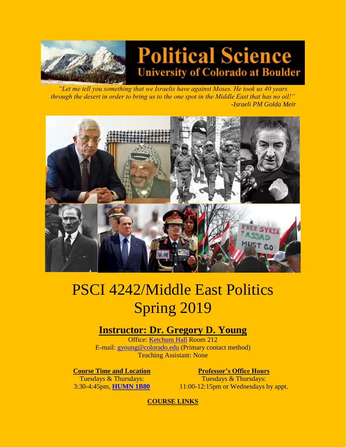

# **Political Science University of Colorado at Boulder**

*"Let me tell you something that we Israelis have against Moses. He took us 40 years through the desert in order to bring us to the one spot in the Middle East that has no oil!" -Israeli PM Golda Meir* 



# PSCI 4242/Middle East Politics Spring 2019

# **Instructor: Dr. Gregory D. Young**

Office: [Ketchum Hall](http://www.colorado.edu/directories/webmap) Room 212 E-mail: [gyoung@colorado.edu](mailto:gyoung@colorado.edu) (Primary contact method) Teaching Assistant: None

**Course Time and Location <b>Professor's Office Hours** 

Tuesdays & Thursdays: 3:30-4:45pm, **[HUMN 1B80](http://www.colorado.edu/directories/webmap)**

Tuesdays & Thursdays: 11:00-12:15pm or Wednesdays by appt.

**COURSE LINKS**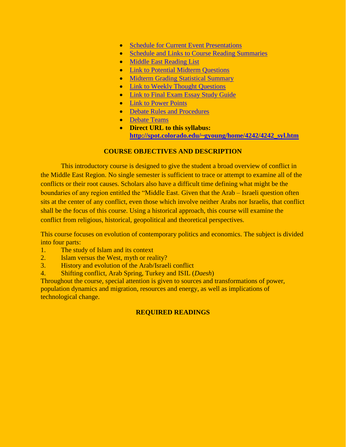- [Schedule for Current Event Presentations](4242CEsked.htm)
- [Schedule and Links to Course Reading Summaries](4242RSsked.htm)
- [Middle East Reading List](4242%20reading%20list.htm)
- [Link to Potential Midterm Questions](4242midques.htm)
- [Midterm Grading Statistical Summary](4242midscore.htm)
- [Link to Weekly Thought Questions](4242thtques.htm)
- [Link to Final Exam Essay Study Guide](4242finterms.htm)
- [Link to Power Points](4242ppt.htm)
- [Debate Rules and Procedures](4242debaterules.htm)
- [Debate Teams](debateteams.htm)
- **Direct URL to this syllabus: [http://spot.colorado.edu/~gyoung/home/4242/4242\\_syl.htm](http://spot.colorado.edu/~gyoung/home/4242/4242_syl.htm)**

## **COURSE OBJECTIVES AND DESCRIPTION**

This introductory course is designed to give the student a broad overview of conflict in the Middle East Region. No single semester is sufficient to trace or attempt to examine all of the conflicts or their root causes. Scholars also have a difficult time defining what might be the boundaries of any region entitled the "Middle East. Given that the Arab – Israeli question often sits at the center of any conflict, even those which involve neither Arabs nor Israelis, that conflict shall be the focus of this course. Using a historical approach, this course will examine the conflict from religious, historical, geopolitical and theoretical perspectives.

This course focuses on evolution of contemporary politics and economics. The subject is divided into four parts:

- 1. The study of Islam and its context
- 2. Islam versus the West, myth or reality?
- 3. History and evolution of the Arab/Israeli conflict
- 4. Shifting conflict, Arab Spring, Turkey and ISIL (*Daesh*)

Throughout the course, special attention is given to sources and transformations of power, population dynamics and migration, resources and energy, as well as implications of technological change.

# **REQUIRED READINGS**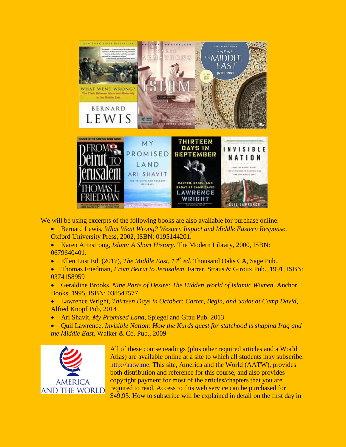

We will be using excerpts of the following books are also available for purchase online:

- Bernard Lewis, *What Went Wrong? Western Impact and Middle Eastern Response*. Oxford University Press, 2002, ISBN: 0195144201.
- Karen Armstrong, *Islam: A Short History*. The Modern Library, 2000, ISBN: 0679640401.
- Ellen Lust Ed. (2017), *The Middle East, 14th ed*. Thousand Oaks CA, Sage Pub.,
- Thomas Friedman, *From Beirut to Jerusalem*. Farrar, Straus & Giroux Pub., 1991, ISBN: 0374158959
- Geraldine Brooks, *Nine Parts of Desire: The Hidden World of Islamic Women*. Anchor Books, 1995, ISBN: 038547577
- Lawrence Wright, *Thirteen Days in October: Carter, Begin, and Sadat at Camp David*, Alfred Knopf Pub, 2014
- Ari Shavit, *My Promised Land*, Spiegel and Grau Pub. 2013
- Quil Lawrence, *Invisible Nation: How the Kurds quest for statehood is shaping Iraq and the Middle East*, Walker & Co. Pub., 2009



All of these course readings (plus other required articles and a World Atlas) are available online at a site to which all students may subscribe: [http://aatw.me.](http://aatw.me/) This site, America and the World (AATW), provides both distribution and reference for this course, and also provides copyright payment for most of the articles/chapters that you are required to read. Access to this web service can be purchased for \$49.95. How to subscribe will be explained in detail on the first day in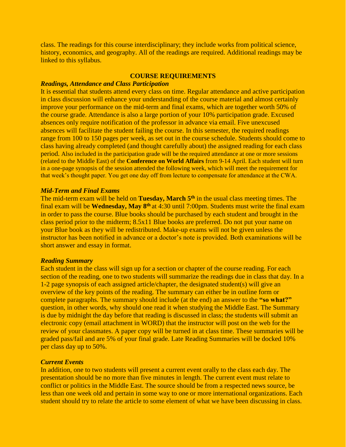class. The readings for this course interdisciplinary; they include works from political science, history, economics, and geography. All of the readings are required. Additional readings may be linked to this syllabus.

#### **COURSE REQUIREMENTS**

#### *Readings, Attendance and Class Participation*

It is essential that students attend every class on time. Regular attendance and active participation in class discussion will enhance your understanding of the course material and almost certainly improve your performance on the mid-term and final exams, which are together worth 50% of the course grade. Attendance is also a large portion of your 10% participation grade. Excused absences only require notification of the professor in advance via email. Five unexcused absences will facilitate the student failing the course. In this semester, the required readings range from 100 to 150 pages per week, as set out in the course schedule. Students should come to class having already completed (and thought carefully about) the assigned reading for each class period. Also included in the participation grade will be the required attendance at one or more sessions (related to the Middle East) of the **Conference on World Affairs** from 9-14 April. Each student will turn in a one-page synopsis of the session attended the following week, which will meet the requirement for that week's thought paper. You get one day off from lecture to compensate for attendance at the CWA.

#### *Mid-Term and Final Exams*

The mid-term exam will be held on **Tuesday, March 5th** in the usual class meeting times. The final exam will be **Wednesday, May 8th** at 4:30 until 7:00pm. Students must write the final exam in order to pass the course. Blue books should be purchased by each student and brought in the class period prior to the midterm; 8.5x11 Blue books are preferred. Do not put your name on your Blue book as they will be redistributed. Make-up exams will not be given unless the instructor has been notified in advance or a doctor's note is provided. Both examinations will be short answer and essay in format.

#### *Reading Summary*

Each student in the class will sign up for a section or chapter of the course reading. For each section of the reading, one to two students will summarize the readings due in class that day. In a 1-2 page synopsis of each assigned article/chapter, the designated student(s) will give an overview of the key points of the reading. The summary can either be in outline form or complete paragraphs. The summary should include (at the end) an answer to the **"so what?"** question, in other words, why should one read it when studying the Middle East. The Summary is due by midnight the day before that reading is discussed in class; the students will submit an electronic copy (email attachment in WORD) that the instructor will post on the web for the review of your classmates. A paper copy will be turned in at class time. These summaries will be graded pass/fail and are 5% of your final grade. Late Reading Summaries will be docked 10% per class day up to 50%.

#### *Current Events*

In addition, one to two students will present a current event orally to the class each day. The presentation should be no more than five minutes in length. The current event must relate to conflict or politics in the Middle East. The source should be from a respected news source, be less than one week old and pertain in some way to one or more international organizations. Each student should try to relate the article to some element of what we have been discussing in class.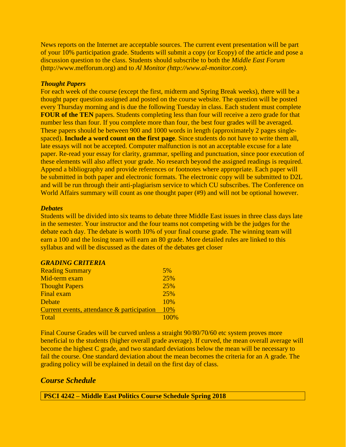News reports on the Internet are acceptable sources. The current event presentation will be part of your 10% participation grade. Students will submit a copy (or Ecopy) of the article and pose a discussion question to the class. Students should subscribe to both the *Middle East Forum* (http://www.mefforum.org) and to *Al Monitor (http://www.al-monitor.com).*

#### *Thought Papers*

For each week of the course (except the first, midterm and Spring Break weeks), there will be a thought paper question assigned and posted on the course website. The question will be posted every Thursday morning and is due the following Tuesday in class. Each student must complete **FOUR of the TEN** papers. Students completing less than four will receive a zero grade for that number less than four. If you complete more than four, the best four grades will be averaged. These papers should be between 900 and 1000 words in length (approximately 2 pages singlespaced). **Include a word count on the first page**. Since students do not have to write them all, late essays will not be accepted. Computer malfunction is not an acceptable excuse for a late paper. Re-read your essay for clarity, grammar, spelling and punctuation, since poor execution of these elements will also affect your grade. No research beyond the assigned readings is required. Append a bibliography and provide references or footnotes where appropriate. Each paper will be submitted in both paper and electronic formats. The electronic copy will be submitted to D2L and will be run through their anti-plagiarism service to which CU subscribes. The Conference on World Affairs summary will count as one thought paper (#9) and will not be optional however.

#### *Debates*

Students will be divided into six teams to debate three Middle East issues in three class days late in the semester. Your instructor and the four teams not competing with be the judges for the debate each day. The debate is worth 10% of your final course grade. The winning team will earn a 100 and the losing team will earn an 80 grade. More detailed rules are linked to this syllabus and will be discussed as the dates of the debates get closer

| <b>Reading Summary</b>                     | 5%   |
|--------------------------------------------|------|
| Mid-term exam                              | 25%  |
| <b>Thought Papers</b>                      | 25%  |
| <b>Final exam</b>                          | 25%  |
| Debate                                     | 10%  |
| Current events, attendance & participation | 10%  |
| Total                                      | 100% |

Final Course Grades will be curved unless a straight 90/80/70/60 etc system proves more beneficial to the students (higher overall grade average). If curved, the mean overall average will become the highest C grade, and two standard deviations below the mean will be necessary to fail the course. One standard deviation about the mean becomes the criteria for an A grade. The grading policy will be explained in detail on the first day of class.

# *Course Schedule*

**PSCI 4242 – Middle East Politics Course Schedule Spring 2018**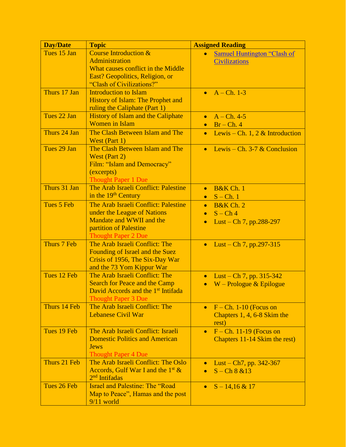| <b>Day/Date</b> | <b>Topic</b>                                                                                                                                                    | <b>Assigned Reading</b>                                                                             |
|-----------------|-----------------------------------------------------------------------------------------------------------------------------------------------------------------|-----------------------------------------------------------------------------------------------------|
| Tues 15 Jan     | <b>Course Introduction &amp;</b><br><b>Administration</b><br>What causes conflict in the Middle<br>East? Geopolitics, Religion, or<br>"Clash of Civilizations?" | Samuel Huntington "Clash of<br>$\bullet$<br><b>Civilizations</b>                                    |
| Thurs 17 Jan    | <b>Introduction to Islam</b><br>History of Islam: The Prophet and<br>ruling the Caliphate (Part 1)                                                              | $A - Ch. 1-3$                                                                                       |
| Tues 22 Jan     | <b>History of Islam and the Caliphate</b><br><b>Women</b> in Islam                                                                                              | $A - Ch. 4-5$<br>$\bullet$<br>$Br - Ch. 4$                                                          |
| Thurs 24 Jan    | The Clash Between Islam and The<br>West (Part 1)                                                                                                                | Lewis – Ch. 1, 2 & Introduction<br>$\bullet$                                                        |
| Tues 29 Jan     | The Clash Between Islam and The<br>West (Part 2)<br>Film: "Islam and Democracy"<br>(excerpts)<br><b>Thought Paper 1 Due</b>                                     | Lewis – Ch. 3-7 $&$ Conclusion<br>$\bullet$                                                         |
| Thurs 31 Jan    | The Arab Israeli Conflict: Palestine<br>in the 19 <sup>th</sup> Century                                                                                         | <b>B&amp;K Ch. 1</b><br>$\bullet$<br>$S$ – Ch. 1<br>$\bullet$                                       |
| Tues 5 Feb      | The Arab Israeli Conflict: Palestine<br>under the League of Nations<br>Mandate and WWII and the<br>partition of Palestine<br><b>Thought Paper 2 Due</b>         | <b>B&amp;K</b> Ch. 2<br>$\bullet$<br>$S - Ch4$<br>$\bullet$<br>Lust – Ch 7, pp.288-297<br>$\bullet$ |
| Thurs 7 Feb     | The Arab Israeli Conflict: The<br>Founding of Israel and the Suez<br>Crisis of 1956, The Six-Day War<br>and the 73 Yom Kippur War                               | Lust – Ch 7, pp.297-315<br>$\bullet$                                                                |
| Tues 12 Feb     | The Arab Israeli Conflict: The<br><b>Search for Peace and the Camp</b><br>David Accords and the 1 <sup>st</sup> Intifada<br><b>Thought Paper 3 Due</b>          | Lust – Ch 7, pp. $315-342$<br>$\bullet$<br>$W -$ Prologue & Epilogue<br>$\bullet$                   |
| Thurs 14 Feb    | The Arab Israeli Conflict: The<br><b>Lebanese Civil War</b>                                                                                                     | $F - Ch. 1-10$ (Focus on<br>$\bullet$<br>Chapters 1, 4, 6-8 Skim the<br>rest)                       |
| Tues 19 Feb     | The Arab Israeli Conflict: Israeli<br><b>Domestic Politics and American</b><br><b>Jews</b><br><b>Thought Paper 4 Due</b>                                        | $F - Ch.$ 11-19 (Focus on<br>$\bullet$<br>Chapters 11-14 Skim the rest)                             |
| Thurs 21 Feb    | The Arab Israeli Conflict: The Oslo<br>Accords, Gulf War I and the $1st$ &<br>$2nd$ Intifadas                                                                   | Lust – Ch7, pp. $342-367$<br>$\bullet$<br>$S - Ch 8 & 13$<br>$\bullet$                              |
| Tues 26 Feb     | <b>Israel and Palestine: The "Road</b><br>Map to Peace", Hamas and the post<br>$9/11$ world                                                                     | $S - 14,16 \& 17$<br>$\bullet$                                                                      |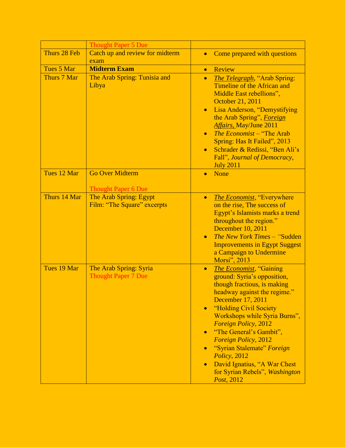|              | <b>Thought Paper 5 Due</b>                            |                                                                                                                                                                                                                                                                                                                                                                                                                                                                                         |
|--------------|-------------------------------------------------------|-----------------------------------------------------------------------------------------------------------------------------------------------------------------------------------------------------------------------------------------------------------------------------------------------------------------------------------------------------------------------------------------------------------------------------------------------------------------------------------------|
| Thurs 28 Feb | Catch up and review for midterm                       | Come prepared with questions<br>$\bullet$                                                                                                                                                                                                                                                                                                                                                                                                                                               |
|              | exam                                                  |                                                                                                                                                                                                                                                                                                                                                                                                                                                                                         |
| Tues 5 Mar   | <b>Midterm Exam</b>                                   | Review<br>$\bullet$                                                                                                                                                                                                                                                                                                                                                                                                                                                                     |
| Thurs 7 Mar  | The Arab Spring: Tunisia and<br>Libya                 | <b>The Telegraph, "Arab Spring:</b><br>$\bullet$<br>Timeline of the African and<br>Middle East rebellions",<br>October 21, 2011<br>Lisa Anderson, "Demystifying<br>$\bullet$<br>the Arab Spring", Foreign<br><b>Affairs, May/June 2011</b><br>The Economist - "The Arab<br>$\bullet$<br>Spring: Has It Failed", 2013<br>Schrader & Redissi, "Ben Ali's<br>$\bullet$<br>Fall", Journal of Democracy,<br><b>July 2011</b>                                                                 |
| Tues 12 Mar  | <b>Go Over Midterm</b>                                | None<br>$\bullet$                                                                                                                                                                                                                                                                                                                                                                                                                                                                       |
|              | <b>Thought Paper 6 Due</b>                            |                                                                                                                                                                                                                                                                                                                                                                                                                                                                                         |
| Thurs 14 Mar | The Arab Spring: Egypt<br>Film: "The Square" excerpts | The Economist, "Everywhere<br>$\bullet$<br>on the rise, The success of<br>Egypt's Islamists marks a trend<br>throughout the region."<br>December 10, 2011<br>The New York Times - "Sudden"<br>$\bullet$<br><b>Improvements in Egypt Suggest</b><br>a Campaign to Undermine<br>Morsi", 2013                                                                                                                                                                                              |
| Tues 19 Mar  | The Arab Spring: Syria<br><b>Thought Paper 7 Due</b>  | <b>The Economist, "Gaining</b><br>$\bullet$<br>ground: Syria's opposition,<br>though fractious, is making<br>headway against the regime."<br>December 17, 2011<br>"Holding Civil Society<br>$\bullet$<br>Workshops while Syria Burns",<br><b>Foreign Policy, 2012</b><br>"The General's Gambit",<br>$\bullet$<br><b>Foreign Policy, 2012</b><br>"Syrian Stalemate" Foreign<br>Policy, 2012<br>David Ignatius, "A War Chest<br>$\bullet$<br>for Syrian Rebels", Washington<br>Post, 2012 |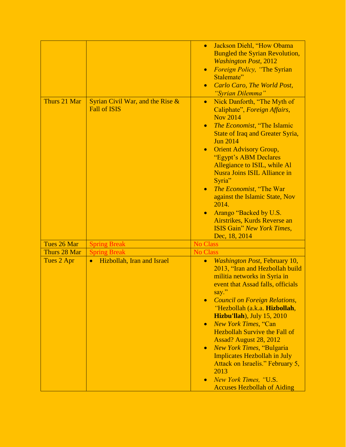| Thurs 21 Mar | Syrian Civil War, and the Rise &<br><b>Fall of ISIS</b> | Jackson Diehl, "How Obama<br>$\bullet$<br><b>Bungled the Syrian Revolution,</b><br><b>Washington Post, 2012</b><br>Foreign Policy, "The Syrian<br>$\bullet$<br>Stalemate"<br><b>Carlo Caro, The World Post,</b><br>$\bullet$<br>"Syrian Dilemma"<br>Nick Danforth, "The Myth of<br>$\bullet$<br>Caliphate", Foreign Affairs,<br><b>Nov 2014</b><br>The Economist, "The Islamic<br>$\bullet$<br><b>State of Iraq and Greater Syria,</b><br><b>Jun 2014</b><br><b>Orient Advisory Group,</b><br>$\bullet$<br>"Egypt's ABM Declares<br>Allegiance to ISIL, while Al<br><b>Nusra Joins ISIL Alliance in</b><br>Syria"<br><i>The Economist</i> , "The War<br>$\bullet$<br>against the Islamic State, Nov<br>2014.<br>Arango "Backed by U.S.<br>Airstrikes, Kurds Reverse an<br><b>ISIS Gain</b> " New York Times, |
|--------------|---------------------------------------------------------|--------------------------------------------------------------------------------------------------------------------------------------------------------------------------------------------------------------------------------------------------------------------------------------------------------------------------------------------------------------------------------------------------------------------------------------------------------------------------------------------------------------------------------------------------------------------------------------------------------------------------------------------------------------------------------------------------------------------------------------------------------------------------------------------------------------|
| Tues 26 Mar  | <b>Spring Break</b>                                     | Dec, 18, 2014<br><b>No Class</b>                                                                                                                                                                                                                                                                                                                                                                                                                                                                                                                                                                                                                                                                                                                                                                             |
| Thurs 28 Mar | <b>Spring Break</b>                                     | <b>No Class</b>                                                                                                                                                                                                                                                                                                                                                                                                                                                                                                                                                                                                                                                                                                                                                                                              |
| Tues 2 Apr   | Hizbollah, Iran and Israel<br>$\bullet$                 | <b>Washington Post, February 10,</b><br>$\bullet$<br>2013, "Iran and Hezbollah build<br>militia networks in Syria in<br>event that Assad falls, officials<br>say."<br><b>Council on Foreign Relations,</b><br>$\bullet$<br>"Hezbollah (a.k.a. Hizbollah,<br><b>Hizbu'llah</b> ), July 15, 2010<br>New York Times, "Can<br>$\bullet$<br><b>Hezbollah Survive the Fall of</b><br>Assad? August 28, 2012<br><b>New York Times, "Bulgaria</b><br>$\bullet$<br><b>Implicates Hezbollah in July</b><br>Attack on Israelis." February 5,<br>2013<br>New York Times, "U.S.<br>$\bullet$<br><b>Accuses Hezbollah of Aiding</b>                                                                                                                                                                                        |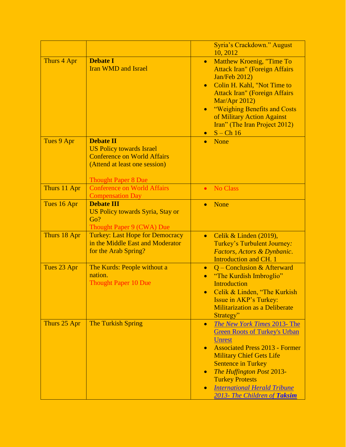|              |                                                                                                                                                          | Syria's Crackdown." August<br>10, 2012                                                                                                                                                                                                                                                                                                                                                  |
|--------------|----------------------------------------------------------------------------------------------------------------------------------------------------------|-----------------------------------------------------------------------------------------------------------------------------------------------------------------------------------------------------------------------------------------------------------------------------------------------------------------------------------------------------------------------------------------|
| Thurs 4 Apr  | <b>Debate I</b><br><b>Iran WMD and Israel</b>                                                                                                            | Matthew Kroenig, "Time To<br>$\bullet$<br><b>Attack Iran" (Foreign Affairs</b><br><b>Jan/Feb 2012)</b><br>Colin H. Kahl, "Not Time to<br>$\bullet$<br><b>Attack Iran" (Foreign Affairs</b><br>Mar/Apr 2012)<br>"Weighing Benefits and Costs<br>$\bullet$<br>of Military Action Against<br>Iran" (The Iran Project 2012)<br>$S$ – Ch 16<br>$\bullet$                                     |
| Tues 9 Apr   | <b>Debate II</b><br><b>US Policy towards Israel</b><br><b>Conference on World Affairs</b><br>(Attend at least one session)<br><b>Thought Paper 8 Due</b> | None<br>$\bullet$                                                                                                                                                                                                                                                                                                                                                                       |
| Thurs 11 Apr | <b>Conference on World Affairs</b><br><b>Compensation Day</b>                                                                                            | <b>No Class</b><br>$\bullet$                                                                                                                                                                                                                                                                                                                                                            |
| Tues 16 Apr  | <b>Debate III</b><br><b>US Policy towards Syria, Stay or</b><br>Go?<br>Thought Paper 9 (CWA) Due                                                         | None<br>$\bullet$                                                                                                                                                                                                                                                                                                                                                                       |
| Thurs 18 Apr | <b>Turkey: Last Hope for Democracy</b><br>in the Middle East and Moderator<br>for the Arab Spring?                                                       | Celik & Linden (2019),<br>$\bullet$<br>Turkey's Turbulent Journey:<br>Factors, Actors & Dynbanic.<br><b>Introduction and CH. 1</b>                                                                                                                                                                                                                                                      |
| Tues 23 Apr  | The Kurds: People without a<br>nation.<br><b>Thought Paper 10 Due</b>                                                                                    | Q – Conclusion & Afterward<br>$\bullet$<br>"The Kurdish Imbroglio"<br>$\bullet$<br><b>Introduction</b><br>Celik & Linden, "The Kurkish<br>Issue in AKP's Turkey:<br><b>Militarization as a Deliberate</b><br>Strategy"                                                                                                                                                                  |
| Thurs 25 Apr | <b>The Turkish Spring</b>                                                                                                                                | <b>The New York Times 2013- The</b><br>$\bullet$<br><b>Green Roots of Turkey's Urban</b><br><b>Unrest</b><br><b>Associated Press 2013 - Former</b><br>$\bullet$<br><b>Military Chief Gets Life</b><br><b>Sentence in Turkey</b><br>The Huffington Post 2013-<br>$\bullet$<br><b>Turkey Protests</b><br><b>International Herald Tribune</b><br>$\bullet$<br>2013- The Children of Taksim |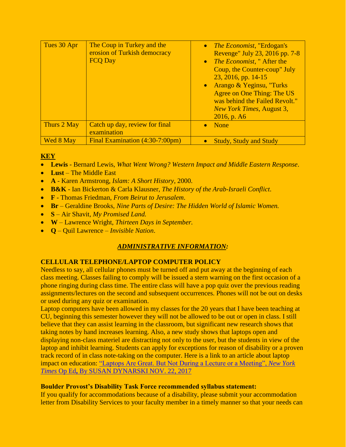| Tues 30 Apr | The Coup in Turkey and the<br>erosion of Turkish democracy<br><b>FCO Day</b> | <i>The Economist</i> , "Erdogan's<br>$\bullet$<br>Revenge" July 23, 2016 pp. 7-8<br>• <i>The Economist</i> , " After the<br>Coup, the Counter-coup" July<br>23, 2016, pp. 14-15<br>Arango & Yeginsu, "Turks<br>Agree on One Thing: The US<br>was behind the Failed Revolt."<br><b>New York Times, August 3,</b><br>$2016$ , p. A6 |
|-------------|------------------------------------------------------------------------------|-----------------------------------------------------------------------------------------------------------------------------------------------------------------------------------------------------------------------------------------------------------------------------------------------------------------------------------|
| Thurs 2 May | Catch up day, review for final<br>examination                                | <b>None</b><br>$\bullet$                                                                                                                                                                                                                                                                                                          |
| Wed 8 May   | Final Examination (4:30-7:00pm)                                              | <b>Study, Study and Study</b>                                                                                                                                                                                                                                                                                                     |

## **KEY**

- **Lewis** Bernard Lewis, *What Went Wrong? Western Impact and Middle Eastern Response*.
- **Lust** The Middle East
- **A** Karen Armstrong, *Islam: A Short History*, 2000.
- **B&K** Ian Bickerton & Carla Klausner, *The History of the Arab-Israeli Conflict*.
- **F** Thomas Friedman, *From Beirut to Jerusalem*.
- **Br**  Geraldine Brooks*, Nine Parts of Desire: The Hidden World of Islamic Women.*
- **S**  Air Shavit, *My Promised Land.*
- **W**  Lawrence Wright, *Thirteen Days in September.*
- **Q**  Quil Lawrence *Invisible Nation*.

# *ADMINISTRATIVE INFORMATION:*

# **CELLULAR TELEPHONE/LAPTOP COMPUTER POLICY**

Needless to say, all cellular phones must be turned off and put away at the beginning of each class meeting. Classes failing to comply will be issued a stern warning on the first occasion of a phone ringing during class time. The entire class will have a pop quiz over the previous reading assignments/lectures on the second and subsequent occurrences. Phones will not be out on desks or used during any quiz or examination.

Laptop computers have been allowed in my classes for the 20 years that I have been teaching at CU, beginning this semester however they will not be allowed to be out or open in class. I still believe that they can assist learning in the classroom, but significant new research shows that taking notes by hand increases learning. Also, a new study shows that laptops open and displaying non-class materiel are distracting not only to the user, but the students in view of the laptop and inhibit learning. Students can apply for exceptions for reason of disability or a proven track record of in class note-taking on the computer. Here is a link to an article about laptop impact on education: ["Laptops Are Great. But Not During a Lecture or a Meeting",](../../../../../AppData/Roaming/Microsoft/Word/dynarskioped.htm) *New York Times* Op Ed**,** [By SUSAN DYNARSKI NOV. 22, 2017](../../../../../AppData/Roaming/Microsoft/Word/dynarskioped.htm) 

### **Boulder Provost's Disability Task Force recommended syllabus statement:**

If you qualify for accommodations because of a disability, please submit your accommodation letter from Disability Services to your faculty member in a timely manner so that your needs can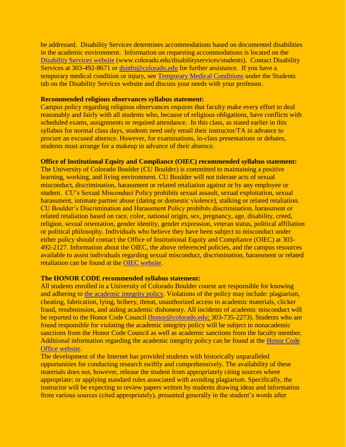be addressed. Disability Services determines accommodations based on documented disabilities in the academic environment. Information on requesting accommodations is located on the [Disability Services website](http://www.colorado.edu/disabilityservices/students) (www.colorado.edu/disabilityservices/students). Contact Disability Services at 303-492-8671 or [dsinfo@colorado.edu](mailto:dsinfo@colorado.edu) for further assistance. If you have a temporary medical condition or injury, see [Temporary Medical Conditions](http://www.colorado.edu/disabilityservices/students/temporary-medical-conditions) under the Students tab on the Disability Services website and discuss your needs with your professor.

#### **Recommended religious observances syllabus statement:**

Campus policy regarding religious observances requires that faculty make every effort to deal reasonably and fairly with all students who, because of religious obligations, have conflicts with scheduled exams, assignments or required attendance. In this class, as stated earlier in this syllabus for normal class days, students need only email their instructor/TA in advance to procure an excused absence. However, for examinations, in-class presentations or debates, students must arrange for a makeup in advance of their absence.

#### **Office of Institutional Equity and Compliance (OIEC) recommended syllabus statement:**

The University of Colorado Boulder (CU Boulder) is committed to maintaining a positive learning, working, and living environment. CU Boulder will not tolerate acts of sexual misconduct, discrimination, harassment or related retaliation against or by any employee or student. CU's Sexual Misconduct Policy prohibits sexual assault, sexual exploitation, sexual harassment, intimate partner abuse (dating or domestic violence), stalking or related retaliation. CU Boulder's Discrimination and Harassment Policy prohibits discrimination, harassment or related retaliation based on race, color, national origin, sex, pregnancy, age, disability, creed, religion, sexual orientation, gender identity, gender expression, veteran status, political affiliation or political philosophy. Individuals who believe they have been subject to misconduct under either policy should contact the Office of Institutional Equity and Compliance (OIEC) at 303- 492-2127. Information about the OIEC, the above referenced policies, and the campus resources available to assist individuals regarding sexual misconduct, discrimination, harassment or related retaliation can be found at the [OIEC website.](http://www.colorado.edu/institutionalequity/)

#### **The HONOR CODE recommended syllabus statement:**

All students enrolled in a University of Colorado Boulder course are responsible for knowing and adhering to [the academic integrity policy.](http://www.colorado.edu/policies/academic-integrity-policy) Violations of the policy may include: plagiarism, cheating, fabrication, lying, bribery, threat, unauthorized access to academic materials, clicker fraud, resubmission, and aiding academic dishonesty. All incidents of academic misconduct will be reported to the Honor Code Council [\(honor@colorado.edu;](mailto:honor@colorado.edu) 303-735-2273). Students who are found responsible for violating the academic integrity policy will be subject to nonacademic sanctions from the Honor Code Council as well as academic sanctions from the faculty member. Additional information regarding the academic integrity policy can be found at the [Honor Code](http://www.colorado.edu/honorcode/)  [Office website.](http://www.colorado.edu/honorcode/)

The development of the Internet has provided students with historically unparalleled opportunities for conducting research swiftly and comprehensively. The availability of these materials does not, however, release the student from appropriately citing sources where appropriate; or applying standard rules associated with avoiding plagiarism. Specifically, the instructor will be expecting to review papers written by students drawing ideas and information from various sources (cited appropriately), presented generally in the student's words after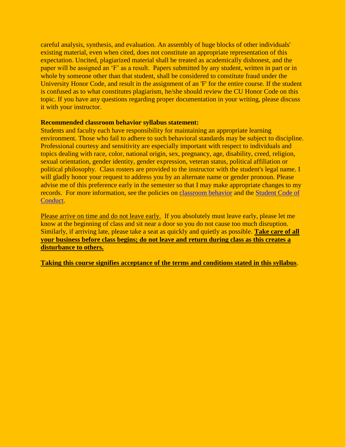careful analysis, synthesis, and evaluation. An assembly of huge blocks of other individuals' existing material, even when cited, does not constitute an appropriate representation of this expectation. Uncited, plagiarized material shall be treated as academically dishonest, and the paper will be assigned an 'F' as a result. Papers submitted by any student, written in part or in whole by someone other than that student, shall be considered to constitute fraud under the University Honor Code, and result in the assignment of an 'F' for the entire course. If the student is confused as to what constitutes plagiarism, he/she should review the CU Honor Code on this topic. If you have any questions regarding proper documentation in your writing, please discuss it with your instructor.

#### **Recommended classroom behavior syllabus statement:**

Students and faculty each have responsibility for maintaining an appropriate learning environment. Those who fail to adhere to such behavioral standards may be subject to discipline. Professional courtesy and sensitivity are especially important with respect to individuals and topics dealing with race, color, national origin, sex, pregnancy, age, disability, creed, religion, sexual orientation, gender identity, gender expression, veteran status, political affiliation or political philosophy. Class rosters are provided to the instructor with the student's legal name. I will gladly honor your request to address you by an alternate name or gender pronoun. Please advise me of this preference early in the semester so that I may make appropriate changes to my records. For more information, see the policies on [classroom behavior](http://www.colorado.edu/policies/student-classroom-and-course-related-behavior) and the [Student Code of](http://www.colorado.edu/osccr/)  [Conduct.](http://www.colorado.edu/osccr/)

Please arrive on time and do not leave early. If you absolutely must leave early, please let me know at the beginning of class and sit near a door so you do not cause too much disruption. Similarly, if arriving late, please take a seat as quickly and quietly as possible. **Take care of all your business before class begins; do not leave and return during class as this creates a disturbance to others.**

**Taking this course signifies acceptance of the terms and conditions stated in this syllabus**.